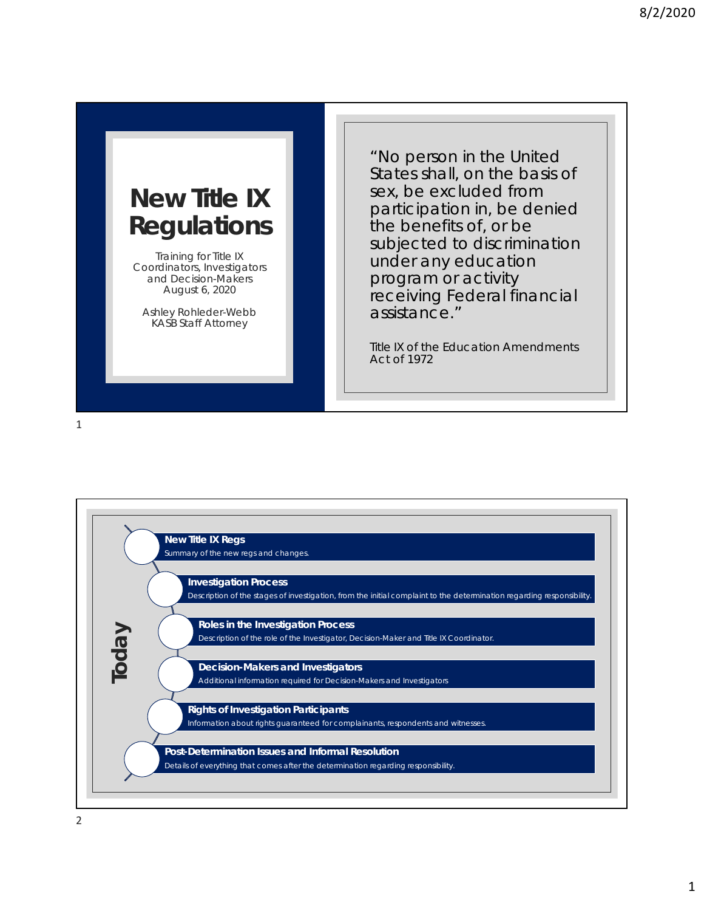## **New Title IX Regulations**

Training for Title IX Coordinators, Investigators and Decision-Makers August 6, 2020

Ashley Rohleder-Webb KASB Staff Attorney

"No person in the United States shall, on the basis of sex, be excluded from participation in, be denied the benefits of, or be subjected to discrimination under any education program or activity receiving Federal financial assistance."

*Title IX of the Education Amendments Act of 1972*

1

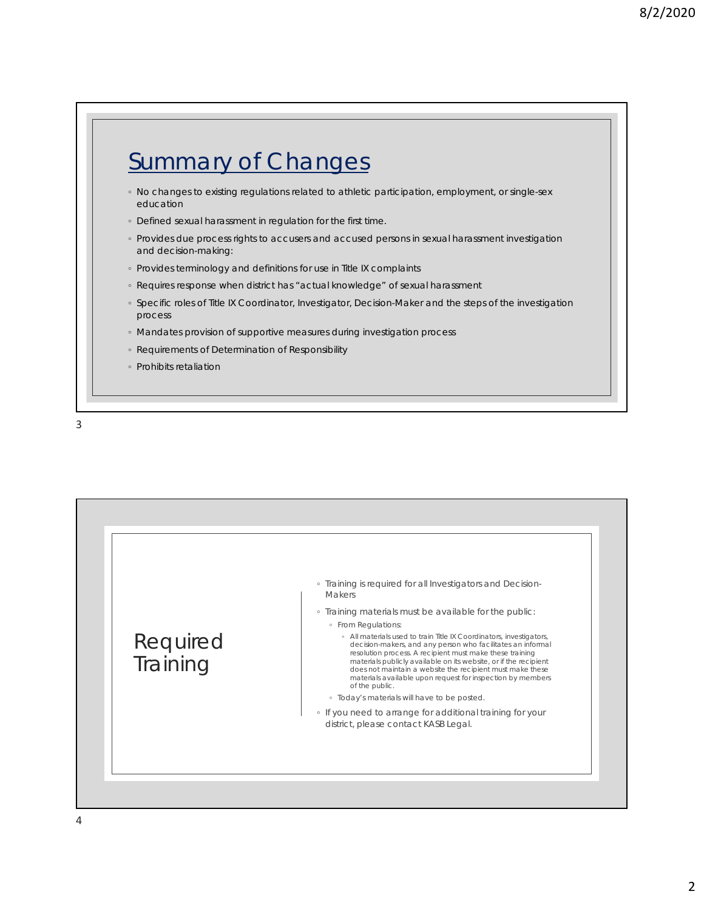## Summary of Changes

- No changes to existing regulations related to athletic participation, employment, or single-sex education
- Defined sexual harassment in regulation for the first time.
- Provides due process rights to accusers and accused persons in sexual harassment investigation and decision-making:
- Provides terminology and definitions for use in Title IX complaints
- Requires response when district has "actual knowledge" of sexual harassment
- Specific roles of Title IX Coordinator, Investigator, Decision-Maker and the steps of the investigation process
- Mandates provision of supportive measures during investigation process
- Requirements of Determination of Responsibility
- Prohibits retaliation

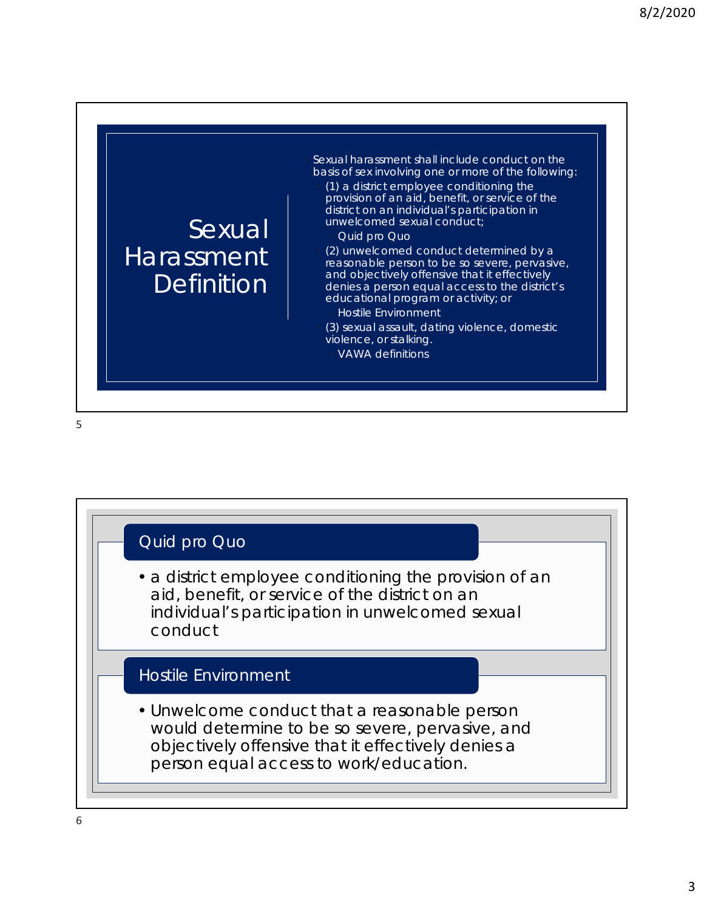

Sexual harassment shall include conduct on the basis of sex involving one or more of the following:

◦ (1) a district employee conditioning the provision of an aid, benefit, or service of the district on an individual's participation in unwelcomed sexual conduct;

Quid pro Quo

◦ (2) unwelcomed conduct determined by a reasonable person to be so severe, pervasive, and objectively offensive that it effectively denies a person equal access to the district's educational program or activity; or

◦ Hostile Environment

◦ (3) sexual assault, dating violence, domestic violence, or stalking. ◦ VAWA definitions

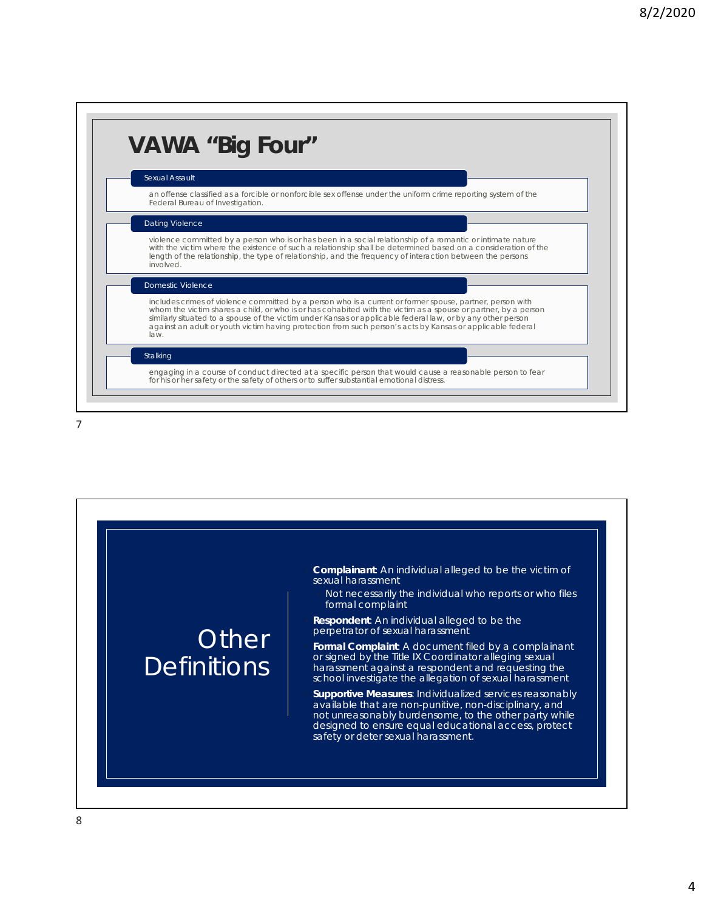| <b>Sexual Assault</b> |                                                                                                                                                                                                                                                                                                                                                                                                                                                          |  |
|-----------------------|----------------------------------------------------------------------------------------------------------------------------------------------------------------------------------------------------------------------------------------------------------------------------------------------------------------------------------------------------------------------------------------------------------------------------------------------------------|--|
|                       | an offense classified as a forcible or nonforcible sex offense under the uniform crime reporting system of the<br>Federal Bureau of Investigation.                                                                                                                                                                                                                                                                                                       |  |
|                       | Dating Violence                                                                                                                                                                                                                                                                                                                                                                                                                                          |  |
| involved.             | violence committed by a person who is or has been in a social relationship of a romantic or intimate nature<br>with the victim where the existence of such a relationship shall be determined based on a consideration of the<br>length of the relationship, the type of relationship, and the frequency of interaction between the persons                                                                                                              |  |
|                       | <b>Domestic Violence</b>                                                                                                                                                                                                                                                                                                                                                                                                                                 |  |
| law.                  | includes crimes of violence committed by a person who is a current or former spouse, partner, person with<br>whom the victim shares a child, or who is or has cohabited with the victim as a spouse or partner, by a person<br>similarly situated to a spouse of the victim under Kansas or applicable federal law, or by any other person<br>against an adult or youth victim having protection from such person's acts by Kansas or applicable federal |  |
| Stalking              |                                                                                                                                                                                                                                                                                                                                                                                                                                                          |  |
|                       | engaging in a course of conduct directed at a specific person that would cause a reasonable person to fear<br>for his or her safety or the safety of others or to suffer substantial emotional distress.                                                                                                                                                                                                                                                 |  |

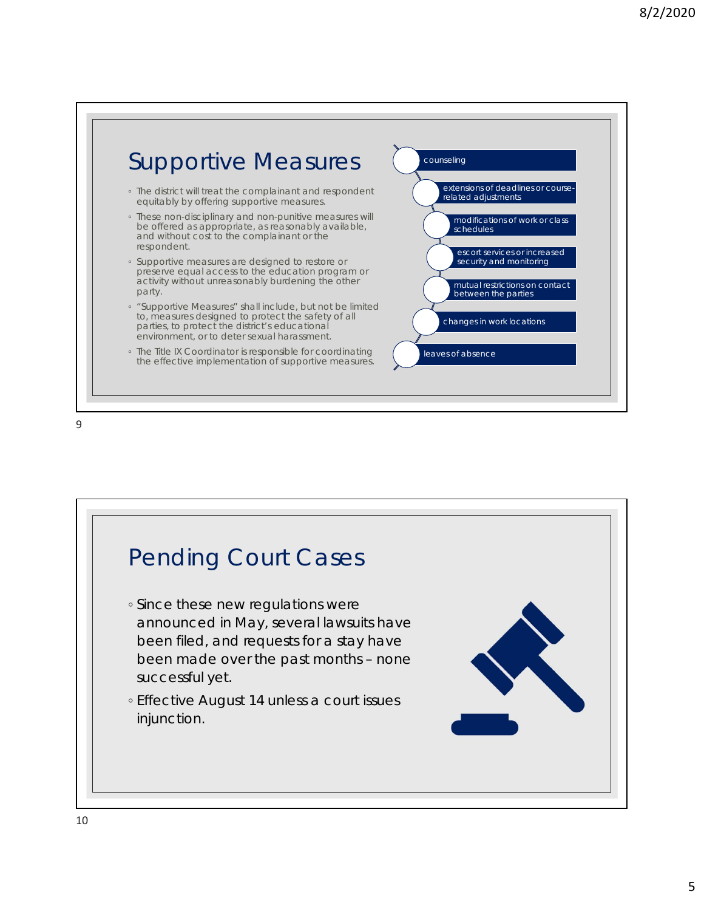